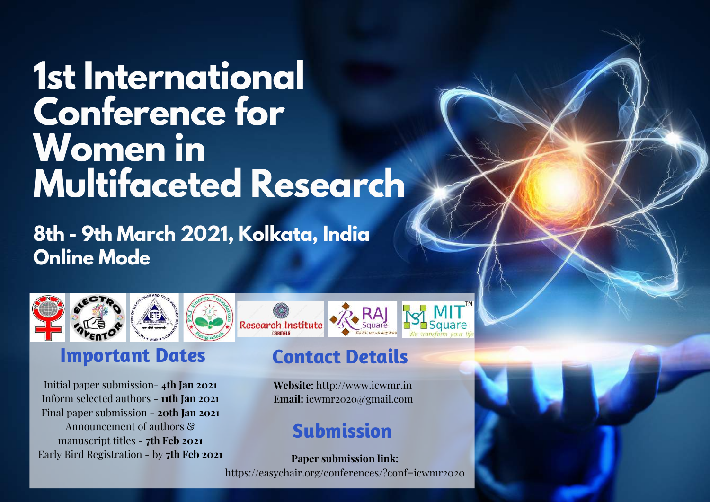## **1st International Conference for Women in Multifaceted Research**

**8th - 9th March 2021, Kolkata, India Online Mode**



### **Important Dates**

Initial paper submission- **4th Jan 2021** Inform selected authors - **11th Jan 2021** Final paper submission - **20th Jan 2021** Announcement of authors  $\mathcal{E}$ manuscript titles - **7th Feb 2021** Early Bird Registration - by **7th Feb 2021**

# **Research Institute**

### **Contact Details**

**Website:** http://www.icwmr.in **Email:** icwmr2020@gmail.com

### **Submission**

**Paper submission link:** https://easychair.org/conferences/?conf=icwmr2020